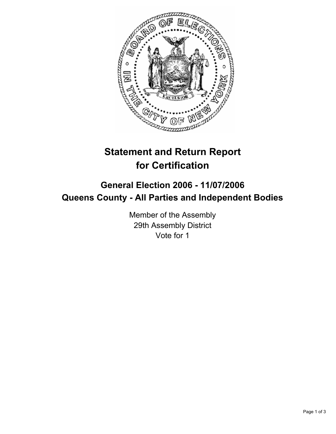

# **Statement and Return Report for Certification**

## **General Election 2006 - 11/07/2006 Queens County - All Parties and Independent Bodies**

Member of the Assembly 29th Assembly District Vote for 1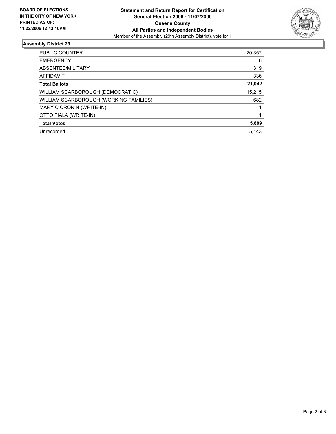

### **Assembly District 29**

| <b>PUBLIC COUNTER</b>                  | 20,357 |
|----------------------------------------|--------|
| <b>EMERGENCY</b>                       | 6      |
| ABSENTEE/MILITARY                      | 319    |
| AFFIDAVIT                              | 336    |
| <b>Total Ballots</b>                   | 21,042 |
| WILLIAM SCARBOROUGH (DEMOCRATIC)       | 15,215 |
| WILLIAM SCARBOROUGH (WORKING FAMILIES) | 682    |
| MARY C CRONIN (WRITE-IN)               |        |
| OTTO FIALA (WRITE-IN)                  |        |
| <b>Total Votes</b>                     | 15,899 |
| Unrecorded                             | 5.143  |